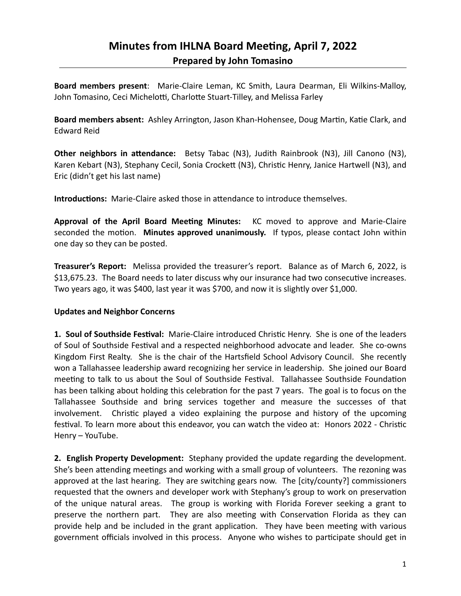# **Minutes from IHLNA Board Meeting, April 7, 2022 Prepared by John Tomasino**

**Board members present**: Marie-Claire Leman, KC Smith, Laura Dearman, Eli Wilkins-Malloy, John Tomasino, Ceci Michelotti, Charlotte Stuart-Tilley, and Melissa Farley

**Board members absent:** Ashley Arrington, Jason Khan-Hohensee, Doug Martin, Katie Clark, and Edward Reid

**Other neighbors in attendance:** Betsy Tabac (N3), Judith Rainbrook (N3), Jill Canono (N3), Karen Kebart (N3), Stephany Cecil, Sonia Crockett (N3), Christic Henry, Janice Hartwell (N3), and Eric (didn't get his last name)

**Introductions:** Marie-Claire asked those in attendance to introduce themselves.

**Approval of the April Board Meeting Minutes:** KC moved to approve and Marie-Claire seconded the motion. **Minutes approved unanimously.** If typos, please contact John within one day so they can be posted.

**Treasurer's Report:** Melissa provided the treasurer's report. Balance as of March 6, 2022, is \$13,675.23. The Board needs to later discuss why our insurance had two consecutive increases. Two years ago, it was \$400, last year it was \$700, and now it is slightly over \$1,000.

### **Updates and Neighbor Concerns**

**1. Soul of Southside Festival:** Marie-Claire introduced Christic Henry. She is one of the leaders of Soul of Southside Festival and a respected neighborhood advocate and leader. She co-owns Kingdom First Realty. She is the chair of the Hartsfield School Advisory Council. She recently won a Tallahassee leadership award recognizing her service in leadership. She joined our Board meeting to talk to us about the Soul of Southside Festival. Tallahassee Southside Foundation has been talking about holding this celebration for the past 7 years. The goal is to focus on the Tallahassee Southside and bring services together and measure the successes of that involvement. Christic played a video explaining the purpose and history of the upcoming festival. To learn more about this endeavor, you can watch the video at: Honors 2022 - Christic Henry – YouTube.

**2. English Property Development:** Stephany provided the update regarding the development. She's been attending meetings and working with a small group of volunteers. The rezoning was approved at the last hearing. They are switching gears now. The [city/county?] commissioners requested that the owners and developer work with Stephany's group to work on preservation of the unique natural areas. The group is working with Florida Forever seeking a grant to preserve the northern part. They are also meeting with Conservation Florida as they can provide help and be included in the grant application. They have been meeting with various government officials involved in this process. Anyone who wishes to participate should get in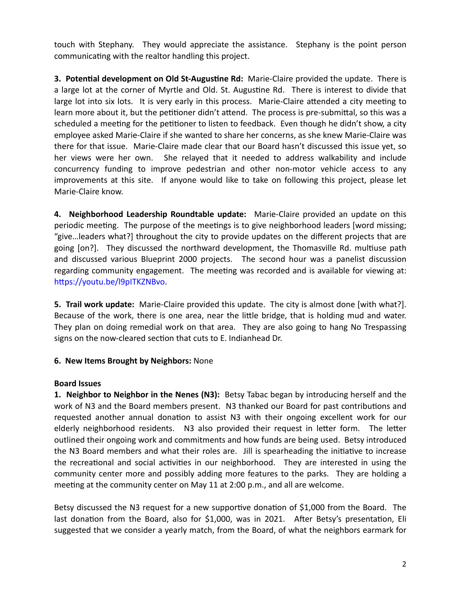touch with Stephany. They would appreciate the assistance. Stephany is the point person communicating with the realtor handling this project.

**3. Potential development on Old St-Augustine Rd:** Marie-Claire provided the update. There is a large lot at the corner of Myrtle and Old. St. Augustine Rd. There is interest to divide that large lot into six lots. It is very early in this process. Marie-Claire attended a city meeting to learn more about it, but the petitioner didn't attend. The process is pre-submittal, so this was a scheduled a meeting for the petitioner to listen to feedback. Even though he didn't show, a city employee asked Marie-Claire if she wanted to share her concerns, as she knew Marie-Claire was there for that issue. Marie-Claire made clear that our Board hasn't discussed this issue yet, so her views were her own. She relayed that it needed to address walkability and include concurrency funding to improve pedestrian and other non-motor vehicle access to any improvements at this site. If anyone would like to take on following this project, please let Marie-Claire know.

**4. Neighborhood Leadership Roundtable update:** Marie-Claire provided an update on this periodic meeting. The purpose of the meetings is to give neighborhood leaders [word missing; "give…leaders what?] throughout the city to provide updates on the different projects that are going [on?]. They discussed the northward development, the Thomasville Rd. multiuse path and discussed various Blueprint 2000 projects. The second hour was a panelist discussion regarding community engagement. The meeting was recorded and is available for viewing at: https://youtu.be/l9pITKZNBvo.

**5. Trail work update:** Marie-Claire provided this update. The city is almost done [with what?]. Because of the work, there is one area, near the little bridge, that is holding mud and water. They plan on doing remedial work on that area. They are also going to hang No Trespassing signs on the now-cleared section that cuts to E. Indianhead Dr.

### **6. New Items Brought by Neighbors:** None

### **Board Issues**

**1. Neighbor to Neighbor in the Nenes (N3):** Betsy Tabac began by introducing herself and the work of N3 and the Board members present. N3 thanked our Board for past contributions and requested another annual donation to assist N3 with their ongoing excellent work for our elderly neighborhood residents. N3 also provided their request in letter form. The letter outlined their ongoing work and commitments and how funds are being used. Betsy introduced the N3 Board members and what their roles are. Jill is spearheading the initiative to increase the recreational and social activities in our neighborhood. They are interested in using the community center more and possibly adding more features to the parks. They are holding a meeting at the community center on May 11 at 2:00 p.m., and all are welcome.

Betsy discussed the N3 request for a new supportive donation of \$1,000 from the Board. The last donation from the Board, also for \$1,000, was in 2021. After Betsy's presentation, Eli suggested that we consider a yearly match, from the Board, of what the neighbors earmark for